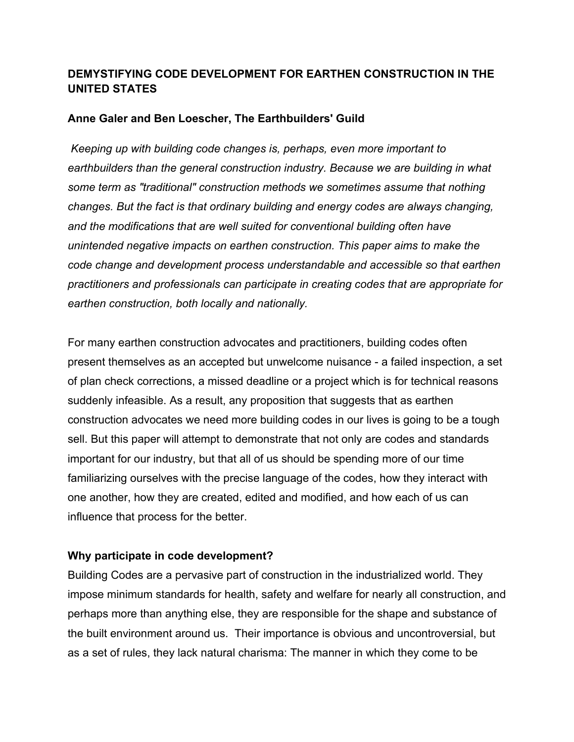# **DEMYSTIFYING CODE DEVELOPMENT FOR EARTHEN CONSTRUCTION IN THE UNITED STATES**

## **Anne Galer and Ben Loescher, The Earthbuilders' Guild**

*Keeping up with building code changes is, perhaps, even more important to earthbuilders than the general construction industry. Because we are building in what some term as "traditional" construction methods we sometimes assume that nothing changes. But the fact is that ordinary building and energy codes are always changing, and the modifications that are well suited for conventional building often have unintended negative impacts on earthen construction. This paper aims to make the code change and development process understandable and accessible so that earthen practitioners and professionals can participate in creating codes that are appropriate for earthen construction, both locally and nationally.* 

For many earthen construction advocates and practitioners, building codes often present themselves as an accepted but unwelcome nuisance - a failed inspection, a set of plan check corrections, a missed deadline or a project which is for technical reasons suddenly infeasible. As a result, any proposition that suggests that as earthen construction advocates we need more building codes in our lives is going to be a tough sell. But this paper will attempt to demonstrate that not only are codes and standards important for our industry, but that all of us should be spending more of our time familiarizing ourselves with the precise language of the codes, how they interact with one another, how they are created, edited and modified, and how each of us can influence that process for the better.

### **Why participate in code development?**

Building Codes are a pervasive part of construction in the industrialized world. They impose minimum standards for health, safety and welfare for nearly all construction, and perhaps more than anything else, they are responsible for the shape and substance of the built environment around us. Their importance is obvious and uncontroversial, but as a set of rules, they lack natural charisma: The manner in which they come to be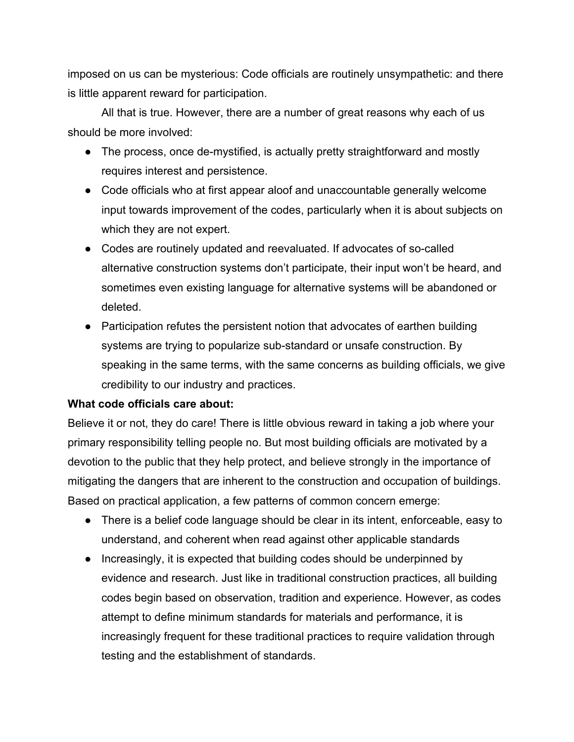imposed on us can be mysterious: Code officials are routinely unsympathetic: and there is little apparent reward for participation.

All that is true. However, there are a number of great reasons why each of us should be more involved:

- The process, once de-mystified, is actually pretty straightforward and mostly requires interest and persistence.
- Code officials who at first appear aloof and unaccountable generally welcome input towards improvement of the codes, particularly when it is about subjects on which they are not expert.
- Codes are routinely updated and reevaluated. If advocates of so-called alternative construction systems don't participate, their input won't be heard, and sometimes even existing language for alternative systems will be abandoned or deleted.
- Participation refutes the persistent notion that advocates of earthen building systems are trying to popularize sub-standard or unsafe construction. By speaking in the same terms, with the same concerns as building officials, we give credibility to our industry and practices.

### **What code officials care about:**

Believe it or not, they do care! There is little obvious reward in taking a job where your primary responsibility telling people no. But most building officials are motivated by a devotion to the public that they help protect, and believe strongly in the importance of mitigating the dangers that are inherent to the construction and occupation of buildings. Based on practical application, a few patterns of common concern emerge:

- There is a belief code language should be clear in its intent, enforceable, easy to understand, and coherent when read against other applicable standards
- Increasingly, it is expected that building codes should be underpinned by evidence and research. Just like in traditional construction practices, all building codes begin based on observation, tradition and experience. However, as codes attempt to define minimum standards for materials and performance, it is increasingly frequent for these traditional practices to require validation through testing and the establishment of standards.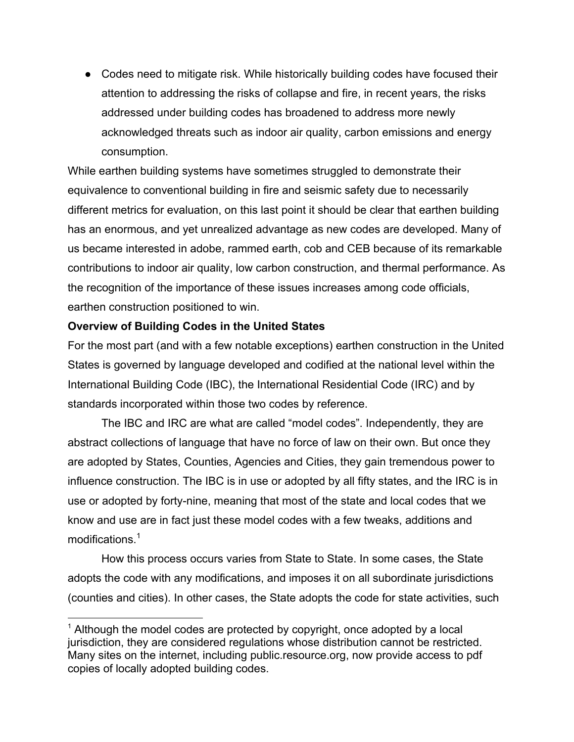● Codes need to mitigate risk. While historically building codes have focused their attention to addressing the risks of collapse and fire, in recent years, the risks addressed under building codes has broadened to address more newly acknowledged threats such as indoor air quality, carbon emissions and energy consumption.

While earthen building systems have sometimes struggled to demonstrate their equivalence to conventional building in fire and seismic safety due to necessarily different metrics for evaluation, on this last point it should be clear that earthen building has an enormous, and yet unrealized advantage as new codes are developed. Many of us became interested in adobe, rammed earth, cob and CEB because of its remarkable contributions to indoor air quality, low carbon construction, and thermal performance. As the recognition of the importance of these issues increases among code officials, earthen construction positioned to win.

## **Overview of Building Codes in the United States**

For the most part (and with a few notable exceptions) earthen construction in the United States is governed by language developed and codified at the national level within the International Building Code (IBC), the International Residential Code (IRC) and by standards incorporated within those two codes by reference.

The IBC and IRC are what are called "model codes". Independently, they are abstract collections of language that have no force of law on their own. But once they are adopted by States, Counties, Agencies and Cities, they gain tremendous power to influence construction. The IBC is in use or adopted by all fifty states, and the IRC is in use or adopted by forty-nine, meaning that most of the state and local codes that we know and use are in fact just these model codes with a few tweaks, additions and modifications.<sup>1</sup>

How this process occurs varies from State to State. In some cases, the State adopts the code with any modifications, and imposes it on all subordinate jurisdictions (counties and cities). In other cases, the State adopts the code for state activities, such

 $1$  Although the model codes are protected by copyright, once adopted by a local jurisdiction, they are considered regulations whose distribution cannot be restricted. Many sites on the internet, including public.resource.org, now provide access to pdf copies of locally adopted building codes.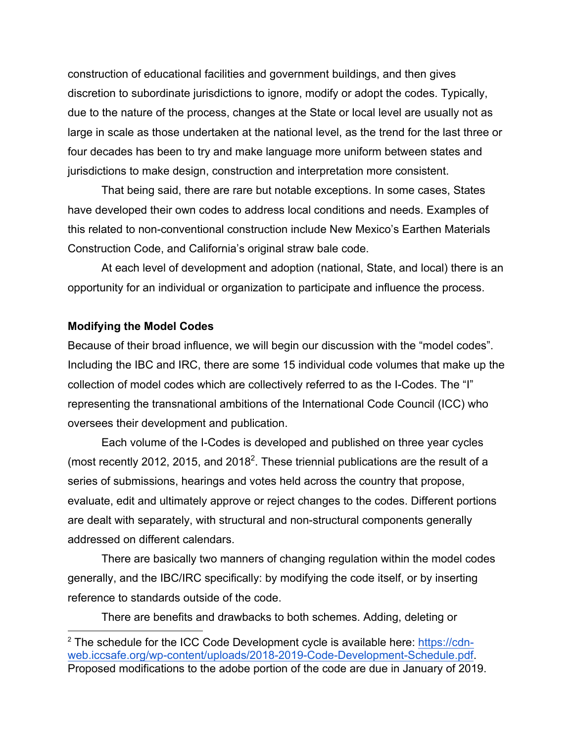construction of educational facilities and government buildings, and then gives discretion to subordinate jurisdictions to ignore, modify or adopt the codes. Typically, due to the nature of the process, changes at the State or local level are usually not as large in scale as those undertaken at the national level, as the trend for the last three or four decades has been to try and make language more uniform between states and jurisdictions to make design, construction and interpretation more consistent.

That being said, there are rare but notable exceptions. In some cases, States have developed their own codes to address local conditions and needs. Examples of this related to non-conventional construction include New Mexico's Earthen Materials Construction Code, and California's original straw bale code.

At each level of development and adoption (national, State, and local) there is an opportunity for an individual or organization to participate and influence the process.

#### **Modifying the Model Codes**

Because of their broad influence, we will begin our discussion with the "model codes". Including the IBC and IRC, there are some 15 individual code volumes that make up the collection of model codes which are collectively referred to as the I-Codes. The "I" representing the transnational ambitions of the International Code Council (ICC) who oversees their development and publication.

Each volume of the I-Codes is developed and published on three year cycles (most recently 2012, 2015, and 2018<sup>2</sup>. These triennial publications are the result of a series of submissions, hearings and votes held across the country that propose, evaluate, edit and ultimately approve or reject changes to the codes. Different portions are dealt with separately, with structural and non-structural components generally addressed on different calendars.

There are basically two manners of changing regulation within the model codes generally, and the IBC/IRC specifically: by modifying the code itself, or by inserting reference to standards outside of the code.

There are benefits and drawbacks to both schemes. Adding, deleting or

 $2$  The schedule for the ICC Code Development cycle is available here: https://cdnweb.iccsafe.org/wp-content/uploads/2018-2019-Code-Development-Schedule.pdf. Proposed modifications to the adobe portion of the code are due in January of 2019.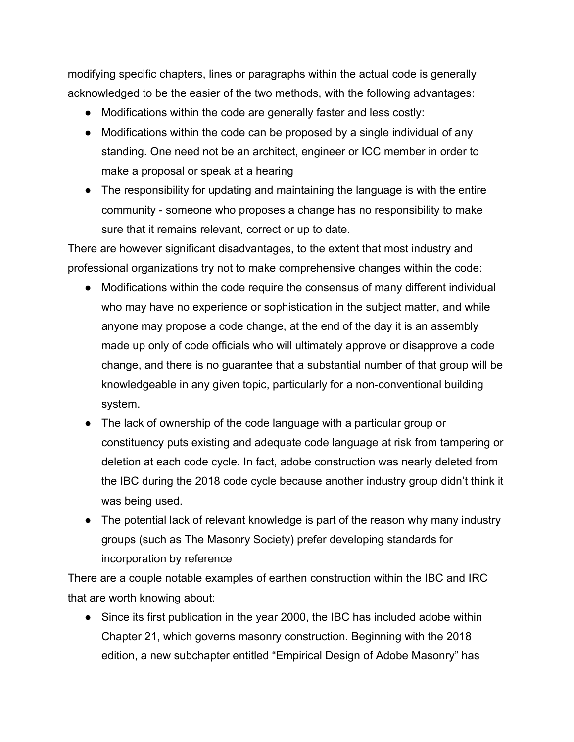modifying specific chapters, lines or paragraphs within the actual code is generally acknowledged to be the easier of the two methods, with the following advantages:

- Modifications within the code are generally faster and less costly:
- Modifications within the code can be proposed by a single individual of any standing. One need not be an architect, engineer or ICC member in order to make a proposal or speak at a hearing
- The responsibility for updating and maintaining the language is with the entire community - someone who proposes a change has no responsibility to make sure that it remains relevant, correct or up to date.

There are however significant disadvantages, to the extent that most industry and professional organizations try not to make comprehensive changes within the code:

- Modifications within the code require the consensus of many different individual who may have no experience or sophistication in the subject matter, and while anyone may propose a code change, at the end of the day it is an assembly made up only of code officials who will ultimately approve or disapprove a code change, and there is no guarantee that a substantial number of that group will be knowledgeable in any given topic, particularly for a non-conventional building system.
- The lack of ownership of the code language with a particular group or constituency puts existing and adequate code language at risk from tampering or deletion at each code cycle. In fact, adobe construction was nearly deleted from the IBC during the 2018 code cycle because another industry group didn't think it was being used.
- The potential lack of relevant knowledge is part of the reason why many industry groups (such as The Masonry Society) prefer developing standards for incorporation by reference

There are a couple notable examples of earthen construction within the IBC and IRC that are worth knowing about:

• Since its first publication in the year 2000, the IBC has included adobe within Chapter 21, which governs masonry construction. Beginning with the 2018 edition, a new subchapter entitled "Empirical Design of Adobe Masonry" has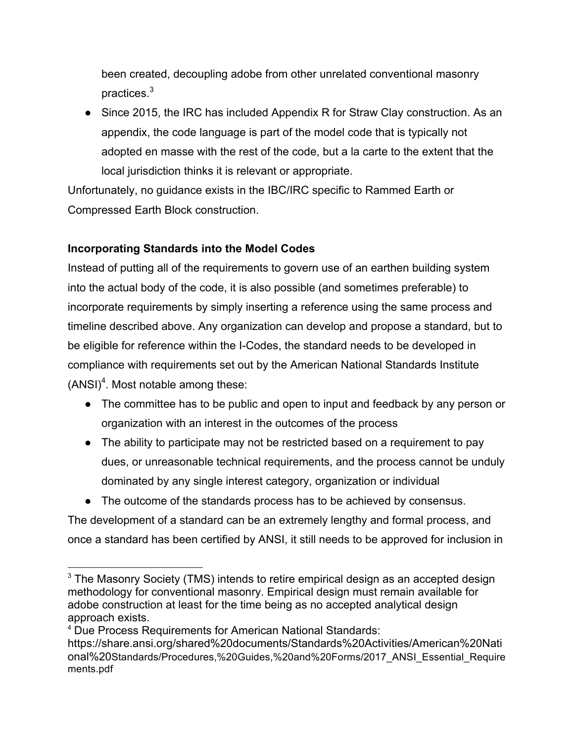been created, decoupling adobe from other unrelated conventional masonry practices.<sup>3</sup>

● Since 2015, the IRC has included Appendix R for Straw Clay construction. As an appendix, the code language is part of the model code that is typically not adopted en masse with the rest of the code, but a la carte to the extent that the local jurisdiction thinks it is relevant or appropriate.

Unfortunately, no guidance exists in the IBC/IRC specific to Rammed Earth or Compressed Earth Block construction.

# **Incorporating Standards into the Model Codes**

Instead of putting all of the requirements to govern use of an earthen building system into the actual body of the code, it is also possible (and sometimes preferable) to incorporate requirements by simply inserting a reference using the same process and timeline described above. Any organization can develop and propose a standard, but to be eligible for reference within the I-Codes, the standard needs to be developed in compliance with requirements set out by the American National Standards Institute (ANSI)<sup>4</sup>. Most notable among these:

- The committee has to be public and open to input and feedback by any person or organization with an interest in the outcomes of the process
- The ability to participate may not be restricted based on a requirement to pay dues, or unreasonable technical requirements, and the process cannot be unduly dominated by any single interest category, organization or individual
- The outcome of the standards process has to be achieved by consensus.

The development of a standard can be an extremely lengthy and formal process, and once a standard has been certified by ANSI, it still needs to be approved for inclusion in

<sup>&</sup>lt;sup>3</sup> The Masonry Society (TMS) intends to retire empirical design as an accepted design methodology for conventional masonry. Empirical design must remain available for adobe construction at least for the time being as no accepted analytical design approach exists.

<sup>4</sup> Due Process Requirements for American National Standards:

https://share.ansi.org/shared%20documents/Standards%20Activities/American%20Nati onal%20Standards/Procedures,%20Guides,%20and%20Forms/2017\_ANSI\_Essential\_Require ments.pdf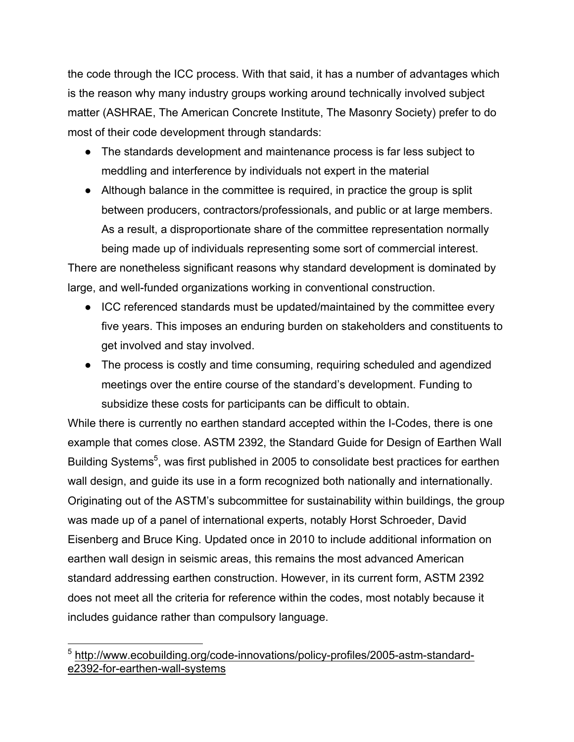the code through the ICC process. With that said, it has a number of advantages which is the reason why many industry groups working around technically involved subject matter (ASHRAE, The American Concrete Institute, The Masonry Society) prefer to do most of their code development through standards:

- The standards development and maintenance process is far less subject to meddling and interference by individuals not expert in the material
- Although balance in the committee is required, in practice the group is split between producers, contractors/professionals, and public or at large members. As a result, a disproportionate share of the committee representation normally being made up of individuals representing some sort of commercial interest.

There are nonetheless significant reasons why standard development is dominated by large, and well-funded organizations working in conventional construction.

- ICC referenced standards must be updated/maintained by the committee every five years. This imposes an enduring burden on stakeholders and constituents to get involved and stay involved.
- The process is costly and time consuming, requiring scheduled and agendized meetings over the entire course of the standard's development. Funding to subsidize these costs for participants can be difficult to obtain.

While there is currently no earthen standard accepted within the I-Codes, there is one example that comes close. ASTM 2392, the Standard Guide for Design of Earthen Wall Building Systems<sup>5</sup>, was first published in 2005 to consolidate best practices for earthen wall design, and guide its use in a form recognized both nationally and internationally. Originating out of the ASTM's subcommittee for sustainability within buildings, the group was made up of a panel of international experts, notably Horst Schroeder, David Eisenberg and Bruce King. Updated once in 2010 to include additional information on earthen wall design in seismic areas, this remains the most advanced American standard addressing earthen construction. However, in its current form, ASTM 2392 does not meet all the criteria for reference within the codes, most notably because it includes guidance rather than compulsory language.

 <sup>5</sup> http://www.ecobuilding.org/code-innovations/policy-profiles/2005-astm-standarde2392-for-earthen-wall-systems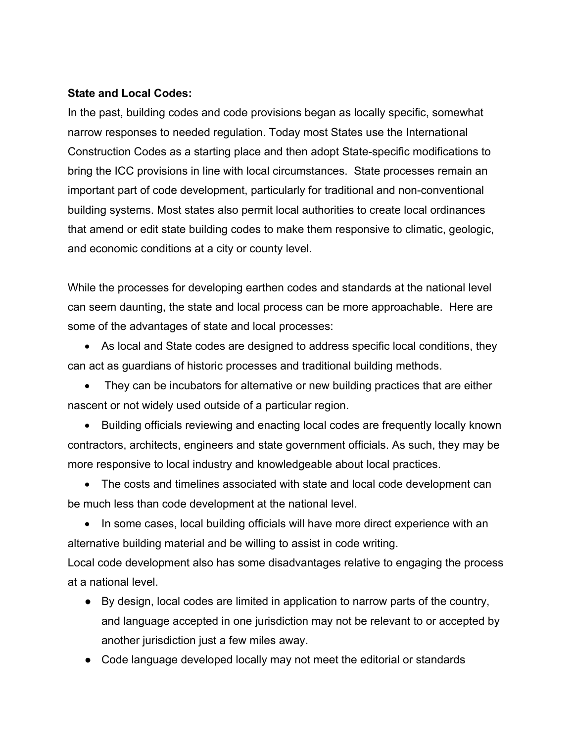#### **State and Local Codes:**

In the past, building codes and code provisions began as locally specific, somewhat narrow responses to needed regulation. Today most States use the International Construction Codes as a starting place and then adopt State-specific modifications to bring the ICC provisions in line with local circumstances. State processes remain an important part of code development, particularly for traditional and non-conventional building systems. Most states also permit local authorities to create local ordinances that amend or edit state building codes to make them responsive to climatic, geologic, and economic conditions at a city or county level.

While the processes for developing earthen codes and standards at the national level can seem daunting, the state and local process can be more approachable. Here are some of the advantages of state and local processes:

• As local and State codes are designed to address specific local conditions, they can act as guardians of historic processes and traditional building methods.

• They can be incubators for alternative or new building practices that are either nascent or not widely used outside of a particular region.

• Building officials reviewing and enacting local codes are frequently locally known contractors, architects, engineers and state government officials. As such, they may be more responsive to local industry and knowledgeable about local practices.

• The costs and timelines associated with state and local code development can be much less than code development at the national level.

• In some cases, local building officials will have more direct experience with an alternative building material and be willing to assist in code writing.

Local code development also has some disadvantages relative to engaging the process at a national level.

- By design, local codes are limited in application to narrow parts of the country, and language accepted in one jurisdiction may not be relevant to or accepted by another jurisdiction just a few miles away.
- Code language developed locally may not meet the editorial or standards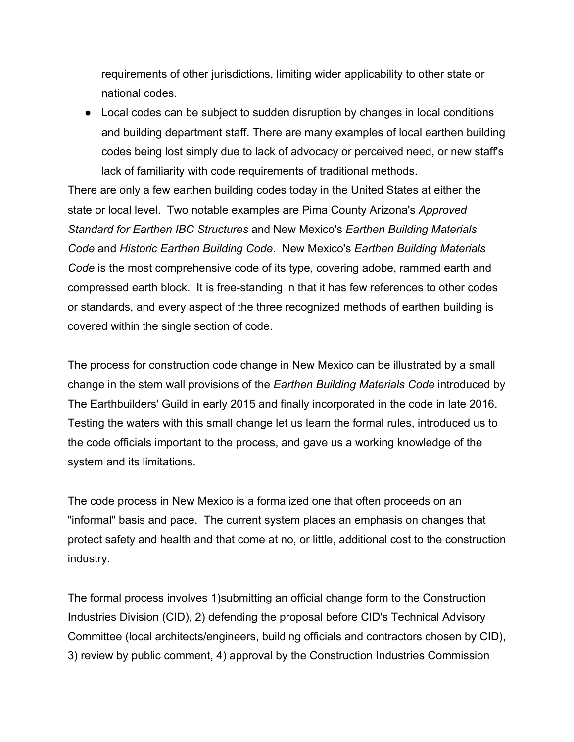requirements of other jurisdictions, limiting wider applicability to other state or national codes.

● Local codes can be subject to sudden disruption by changes in local conditions and building department staff. There are many examples of local earthen building codes being lost simply due to lack of advocacy or perceived need, or new staff's lack of familiarity with code requirements of traditional methods.

There are only a few earthen building codes today in the United States at either the state or local level. Two notable examples are Pima County Arizona's *Approved Standard for Earthen IBC Structures* and New Mexico's *Earthen Building Materials Code* and *Historic Earthen Building Code*. New Mexico's *Earthen Building Materials Code* is the most comprehensive code of its type, covering adobe, rammed earth and compressed earth block. It is free-standing in that it has few references to other codes or standards, and every aspect of the three recognized methods of earthen building is covered within the single section of code.

The process for construction code change in New Mexico can be illustrated by a small change in the stem wall provisions of the *Earthen Building Materials Code* introduced by The Earthbuilders' Guild in early 2015 and finally incorporated in the code in late 2016. Testing the waters with this small change let us learn the formal rules, introduced us to the code officials important to the process, and gave us a working knowledge of the system and its limitations.

The code process in New Mexico is a formalized one that often proceeds on an "informal" basis and pace. The current system places an emphasis on changes that protect safety and health and that come at no, or little, additional cost to the construction industry.

The formal process involves 1)submitting an official change form to the Construction Industries Division (CID), 2) defending the proposal before CID's Technical Advisory Committee (local architects/engineers, building officials and contractors chosen by CID), 3) review by public comment, 4) approval by the Construction Industries Commission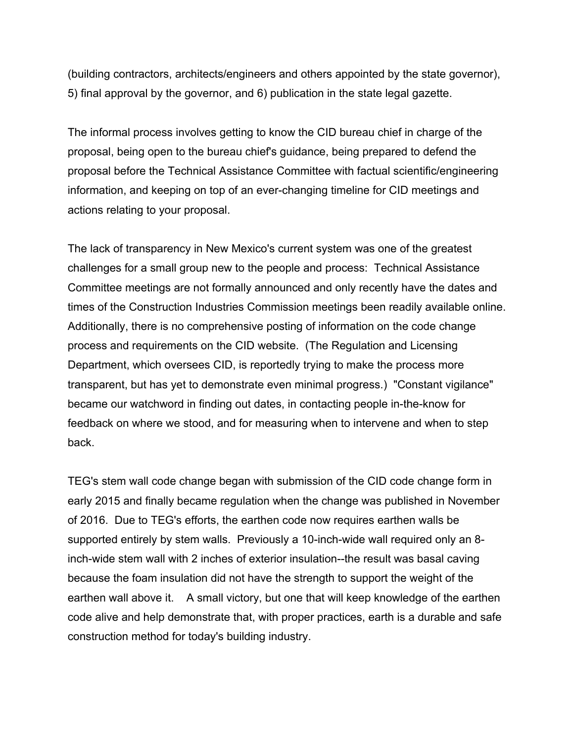(building contractors, architects/engineers and others appointed by the state governor), 5) final approval by the governor, and 6) publication in the state legal gazette.

The informal process involves getting to know the CID bureau chief in charge of the proposal, being open to the bureau chief's guidance, being prepared to defend the proposal before the Technical Assistance Committee with factual scientific/engineering information, and keeping on top of an ever-changing timeline for CID meetings and actions relating to your proposal.

The lack of transparency in New Mexico's current system was one of the greatest challenges for a small group new to the people and process: Technical Assistance Committee meetings are not formally announced and only recently have the dates and times of the Construction Industries Commission meetings been readily available online. Additionally, there is no comprehensive posting of information on the code change process and requirements on the CID website. (The Regulation and Licensing Department, which oversees CID, is reportedly trying to make the process more transparent, but has yet to demonstrate even minimal progress.) "Constant vigilance" became our watchword in finding out dates, in contacting people in-the-know for feedback on where we stood, and for measuring when to intervene and when to step back.

TEG's stem wall code change began with submission of the CID code change form in early 2015 and finally became regulation when the change was published in November of 2016. Due to TEG's efforts, the earthen code now requires earthen walls be supported entirely by stem walls. Previously a 10-inch-wide wall required only an 8 inch-wide stem wall with 2 inches of exterior insulation--the result was basal caving because the foam insulation did not have the strength to support the weight of the earthen wall above it. A small victory, but one that will keep knowledge of the earthen code alive and help demonstrate that, with proper practices, earth is a durable and safe construction method for today's building industry.